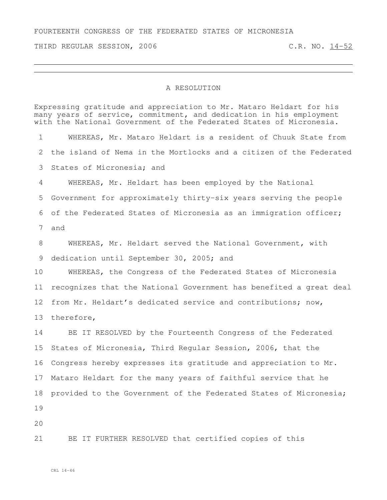FOURTEENTH CONGRESS OF THE FEDERATED STATES OF MICRONESIA

THIRD REGULAR SESSION, 2006 C.R. NO. 14-52

## A RESOLUTION

Expressing gratitude and appreciation to Mr. Mataro Heldart for his many years of service, commitment, and dedication in his employment with the National Government of the Federated States of Micronesia. WHEREAS, Mr. Mataro Heldart is a resident of Chuuk State from the island of Nema in the Mortlocks and a citizen of the Federated States of Micronesia; and WHEREAS, Mr. Heldart has been employed by the National Government for approximately thirty-six years serving the people of the Federated States of Micronesia as an immigration officer; and WHEREAS, Mr. Heldart served the National Government, with 9 dedication until September 30, 2005; and WHEREAS, the Congress of the Federated States of Micronesia recognizes that the National Government has benefited a great deal from Mr. Heldart's dedicated service and contributions; now, therefore, BE IT RESOLVED by the Fourteenth Congress of the Federated States of Micronesia, Third Regular Session, 2006, that the Congress hereby expresses its gratitude and appreciation to Mr. Mataro Heldart for the many years of faithful service that he provided to the Government of the Federated States of Micronesia; 

BE IT FURTHER RESOLVED that certified copies of this